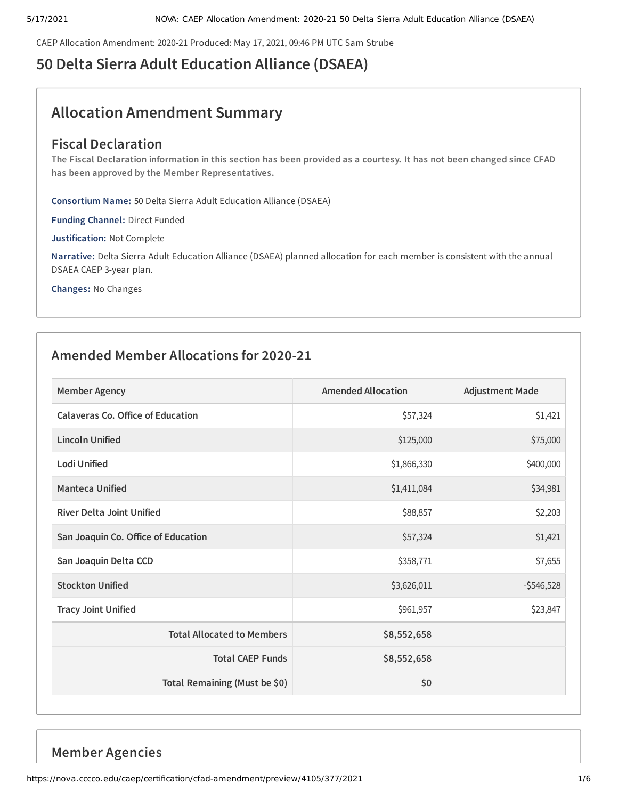CAEP Allocation Amendment: 2020-21 Produced: May 17, 2021, 09:46 PM UTC Sam Strube

# **50 Delta Sierra Adult Education Alliance (DSAEA)**

# **Allocation Amendment Summary**

## **Fiscal Declaration**

The Fiscal Declaration information in this section has been provided as a courtesy. It has not been changed since CFAD **has been approved by the Member Representatives.**

**Consortium Name:** 50 Delta Sierra Adult Education Alliance (DSAEA)

**Funding Channel:** Direct Funded

**Justification:** Not Complete

**Narrative:** Delta Sierra Adult Education Alliance (DSAEA) planned allocation for each member is consistent with the annual DSAEA CAEP 3-year plan.

**Changes:** No Changes

## **Amended Member Allocations for 2020-21**

| <b>Member Agency</b>                | <b>Amended Allocation</b> | <b>Adjustment Made</b> |
|-------------------------------------|---------------------------|------------------------|
| Calaveras Co. Office of Education   | \$57,324                  | \$1,421                |
| <b>Lincoln Unified</b>              | \$125,000                 | \$75,000               |
| Lodi Unified                        | \$1,866,330               | \$400,000              |
| <b>Manteca Unified</b>              | \$1,411,084               | \$34,981               |
| <b>River Delta Joint Unified</b>    | \$88,857                  | \$2,203                |
| San Joaquin Co. Office of Education | \$57,324                  | \$1,421                |
| San Joaquin Delta CCD               | \$358,771                 | \$7,655                |
| <b>Stockton Unified</b>             | \$3,626,011               | $-5546,528$            |
| <b>Tracy Joint Unified</b>          | \$961,957                 | \$23,847               |
| <b>Total Allocated to Members</b>   | \$8,552,658               |                        |
| <b>Total CAEP Funds</b>             | \$8,552,658               |                        |
| Total Remaining (Must be \$0)       | \$0                       |                        |

## **Member Agencies**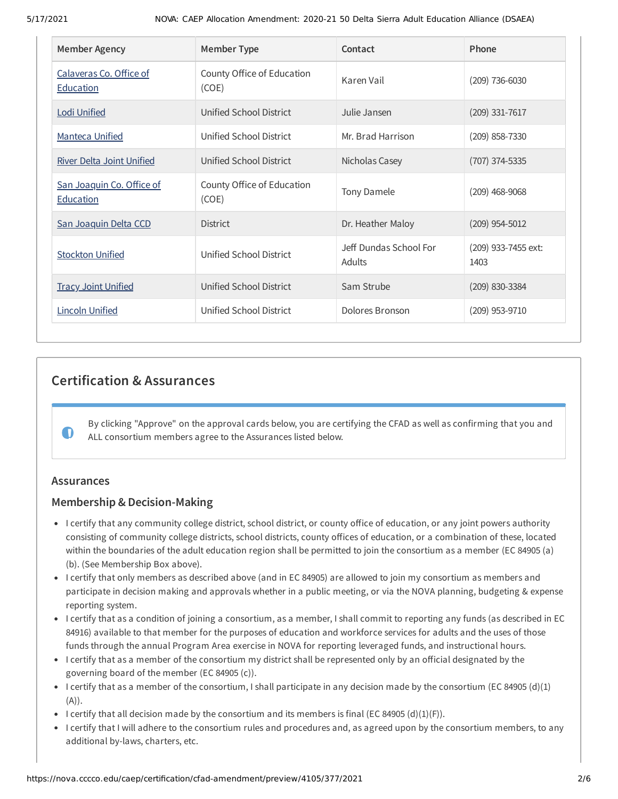| <b>Member Agency</b>                   | <b>Member Type</b>                  | Contact                          | Phone                       |
|----------------------------------------|-------------------------------------|----------------------------------|-----------------------------|
| Calaveras Co. Office of<br>Education   | County Office of Education<br>(COE) | Karen Vail                       | $(209)$ 736-6030            |
| <b>Lodi Unified</b>                    | Unified School District             | Julie Jansen                     | $(209)$ 331-7617            |
| <b>Manteca Unified</b>                 | Unified School District             | Mr. Brad Harrison                | (209) 858-7330              |
| <b>River Delta Joint Unified</b>       | Unified School District             | Nicholas Casey                   | (707) 374-5335              |
| San Joaquin Co. Office of<br>Education | County Office of Education<br>(COE) | Tony Damele                      | $(209)$ 468-9068            |
| San Joaquin Delta CCD                  | <b>District</b>                     | Dr. Heather Maloy                | $(209)$ 954-5012            |
| <b>Stockton Unified</b>                | Unified School District             | Jeff Dundas School For<br>Adults | (209) 933-7455 ext:<br>1403 |
| <b>Tracy Joint Unified</b>             | Unified School District             | Sam Strube                       | $(209)$ 830-3384            |
| <b>Lincoln Unified</b>                 | Unified School District             | Dolores Bronson                  | (209) 953-9710              |

## **Certification & Assurances**

By clicking "Approve" on the approval cards below, you are certifying the CFAD as well as confirming that you and ALL consortium members agree to the Assurances listed below.

## **Assurances**

 $\bullet$ 

## **Membership & Decision-Making**

- I certify that any community college district, school district, or county office of education, or any joint powers authority consisting of community college districts, school districts, county offices of education, or a combination of these, located within the boundaries of the adult education region shall be permitted to join the consortium as a member (EC 84905 (a) (b). (See Membership Box above).
- I certify that only members as described above (and in EC 84905) are allowed to join my consortium as members and participate in decision making and approvals whether in a public meeting, or via the NOVA planning, budgeting & expense reporting system.
- I certify that as a condition of joining a consortium, as a member, I shall commit to reporting any funds (as described in EC 84916) available to that member for the purposes of education and workforce services for adults and the uses of those funds through the annual Program Area exercise in NOVA for reporting leveraged funds, and instructional hours.
- I certify that as a member of the consortium my district shall be represented only by an official designated by the governing board of the member (EC 84905 (c)).
- I certify that as a member of the consortium, I shall participate in any decision made by the consortium (EC 84905 (d)(1)  $(A)$ ).
- I certify that all decision made by the consortium and its members is final (EC 84905 (d)(1)(F)).
- I certify that I will adhere to the consortium rules and procedures and, as agreed upon by the consortium members, to any additional by-laws, charters, etc.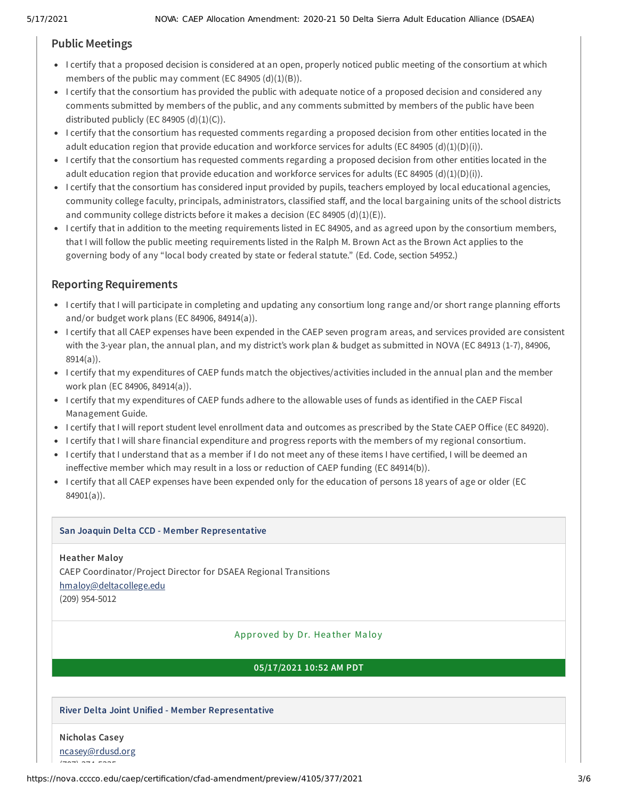## **Public Meetings**

- I certify that a proposed decision is considered at an open, properly noticed public meeting of the consortium at which members of the public may comment (EC 84905  $(d)(1)(B)$ ).
- I certify that the consortium has provided the public with adequate notice of a proposed decision and considered any comments submitted by members of the public, and any comments submitted by members of the public have been distributed publicly (EC 84905  $(d)(1)(C)$ ).
- I certify that the consortium has requested comments regarding a proposed decision from other entities located in the adult education region that provide education and workforce services for adults (EC 84905 (d)(1)(D)(i)).
- I certify that the consortium has requested comments regarding a proposed decision from other entities located in the adult education region that provide education and workforce services for adults (EC 84905 (d)(1)(D)(i)).
- I certify that the consortium has considered input provided by pupils, teachers employed by local educational agencies, community college faculty, principals, administrators, classified staff, and the local bargaining units of the school districts and community college districts before it makes a decision (EC 84905  $(d)(1)(E)$ ).
- I certify that in addition to the meeting requirements listed in EC 84905, and as agreed upon by the consortium members, that I will follow the public meeting requirements listed in the Ralph M. Brown Act as the Brown Act applies to the governing body of any "local body created by state or federal statute." (Ed. Code, section 54952.)

## **Reporting Requirements**

- I certify that I will participate in completing and updating any consortium long range and/or short range planning efforts and/or budget work plans (EC 84906, 84914(a)).
- I certify that all CAEP expenses have been expended in the CAEP seven program areas, and services provided are consistent with the 3-year plan, the annual plan, and my district's work plan & budget as submitted in NOVA (EC 84913 (1-7), 84906, 8914(a)).
- I certify that my expenditures of CAEP funds match the objectives/activities included in the annual plan and the member work plan (EC 84906, 84914(a)).
- I certify that my expenditures of CAEP funds adhere to the allowable uses of funds as identified in the CAEP Fiscal Management Guide.
- I certify that I will report student level enrollment data and outcomes as prescribed by the State CAEP Office (EC 84920).
- I certify that I will share financial expenditure and progress reports with the members of my regional consortium.
- I certify that I understand that as a member if I do not meet any of these items I have certified, I will be deemed an ineffective member which may result in a loss or reduction of CAEP funding (EC 84914(b)).
- I certify that all CAEP expenses have been expended only for the education of persons 18 years of age or older (EC 84901(a)).

## **San Joaquin Delta CCD - Member Representative**

**Heather Maloy** CAEP Coordinator/Project Director for DSAEA Regional Transitions [hmaloy@deltacollege.edu](mailto:hmaloy@deltacollege.edu) (209) 954-5012

## Approved by Dr. Hea ther Ma loy

## **05/17/2021 10:52 AM PDT**

## **River Delta Joint Unified - Member Representative**

## **Nicholas Casey**

 $(70, 70, 70, 70, 70)$ 

[ncasey@rdusd.org](mailto:ncasey@rdusd.org)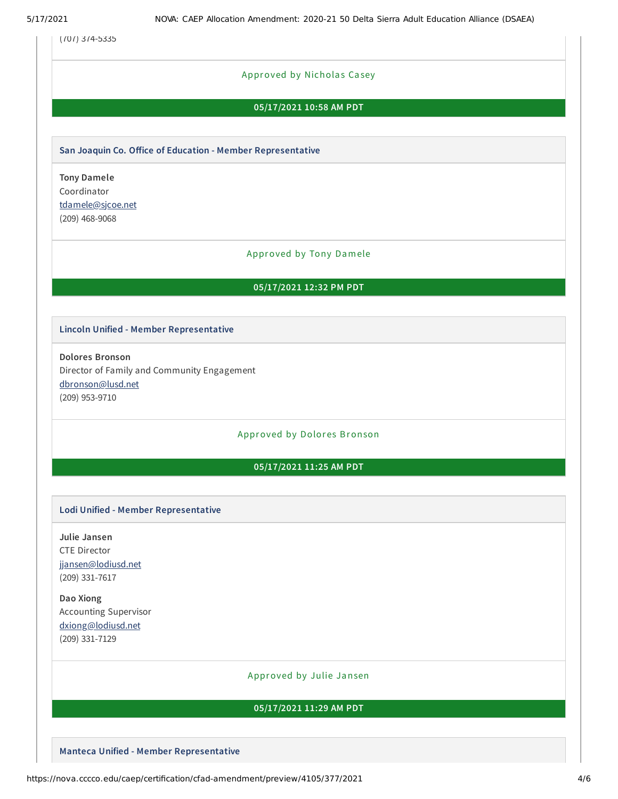(707) 374-5335

## Approved by Nicholas Casey

### **05/17/2021 10:58 AM PDT**

#### **San Joaquin Co. Oice of Education - Member Representative**

**Tony Damele** Coordinator [tdamele@sjcoe.net](mailto:tdamele@sjcoe.net) (209) 468-9068

### Approved by Tony Damele

#### **05/17/2021 12:32 PM PDT**

#### **Lincoln Unified - Member Representative**

**Dolores Bronson** Director of Family and Community Engagement [dbronson@lusd.net](mailto:dbronson@lusd.net) (209) 953-9710

#### Approved by Dolores Bronson

## **05/17/2021 11:25 AM PDT**

### **Lodi Unified - Member Representative**

**Julie Jansen** CTE Director [jjansen@lodiusd.net](mailto:jjansen@lodiusd.net) (209) 331-7617

**Dao Xiong** Accounting Supervisor [dxiong@lodiusd.net](mailto:dxiong@lodiusd.net) (209) 331-7129

#### Approved by Julie Jansen

### **05/17/2021 11:29 AM PDT**

**Manteca Unified - Member Representative**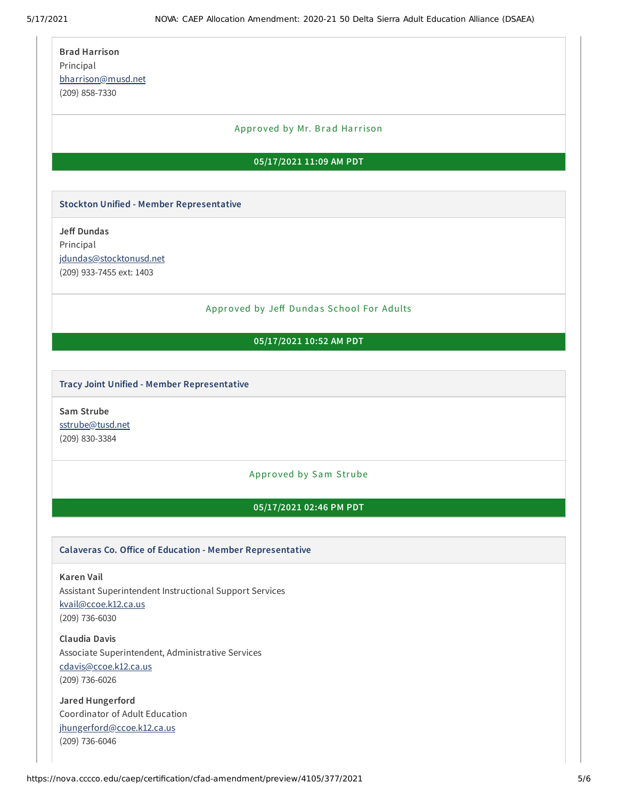| <b>Brad Harrison</b>                                      |
|-----------------------------------------------------------|
|                                                           |
| Principal                                                 |
| bharrison@musd.net                                        |
| (209) 858-7330                                            |
|                                                           |
| Approved by Mr. Brad Harrison                             |
|                                                           |
| 05/17/2021 11:09 AM PDT                                   |
|                                                           |
| <b>Stockton Unified - Member Representative</b>           |
| <b>Jeff Dundas</b>                                        |
| Principal                                                 |
| jdundas@stocktonusd.net                                   |
| (209) 933-7455 ext: 1403                                  |
|                                                           |
|                                                           |
| Approved by Jeff Dundas School For Adults                 |
| 05/17/2021 10:52 AM PDT                                   |
|                                                           |
|                                                           |
| Tracy Joint Unified - Member Representative               |
|                                                           |
| Sam Strube                                                |
| sstrube@tusd.net                                          |
| (209) 830-3384                                            |
|                                                           |
| Approved by Sam Strube                                    |
| 05/17/2021 02:46 PM PDT                                   |
|                                                           |
|                                                           |
| Calaveras Co. Office of Education - Member Representative |
| <b>Karen Vail</b>                                         |
| Assistant Superintendent Instructional Support Services   |
| kvail@ccoe.k12.ca.us                                      |
| $(209)$ 736-6030                                          |
|                                                           |
| <b>Claudia Davis</b>                                      |
| Associate Superintendent, Administrative Services         |
| cdavis@ccoe.k12.ca.us                                     |
| (209) 736-6026                                            |
|                                                           |

**Jared Hungerford** Coordinator of Adult Education [jhungerford@ccoe.k12.ca.us](mailto:jhungerford@ccoe.k12.ca.us) (209) 736-6046